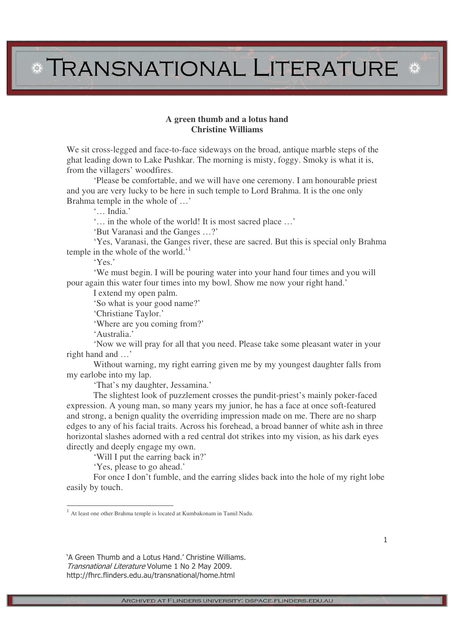## **\* TRANSNATIONAL LITERATURE \***

## **A green thumb and a lotus hand Christine Williams**

We sit cross-legged and face-to-face sideways on the broad, antique marble steps of the ghat leading down to Lake Pushkar. The morning is misty, foggy. Smoky is what it is, from the villagers' woodfires.

'Please be comfortable, and we will have one ceremony. I am honourable priest and you are very lucky to be here in such temple to Lord Brahma. It is the one only Brahma temple in the whole of …'

'… India.'

'… in the whole of the world! It is most sacred place …'

'But Varanasi and the Ganges …?'

'Yes, Varanasi, the Ganges river, these are sacred. But this is special only Brahma temple in the whole of the world.<sup>1</sup>

'Yes.'

'We must begin. I will be pouring water into your hand four times and you will pour again this water four times into my bowl. Show me now your right hand.'

I extend my open palm.

'So what is your good name?'

'Christiane Taylor.'

'Where are you coming from?'

'Australia.'

'Now we will pray for all that you need. Please take some pleasant water in your right hand and …'

Without warning, my right earring given me by my youngest daughter falls from my earlobe into my lap.

'That's my daughter, Jessamina.'

The slightest look of puzzlement crosses the pundit-priest's mainly poker-faced expression. A young man, so many years my junior, he has a face at once soft-featured and strong, a benign quality the overriding impression made on me. There are no sharp edges to any of his facial traits. Across his forehead, a broad banner of white ash in three horizontal slashes adorned with a red central dot strikes into my vision, as his dark eyes directly and deeply engage my own.

'Will I put the earring back in?'

'Yes, please to go ahead.'

For once I don't fumble, and the earring slides back into the hole of my right lobe easily by touch.

<sup>1</sup> At least one other Brahma temple is located at Kumbakonam in Tamil Nadu.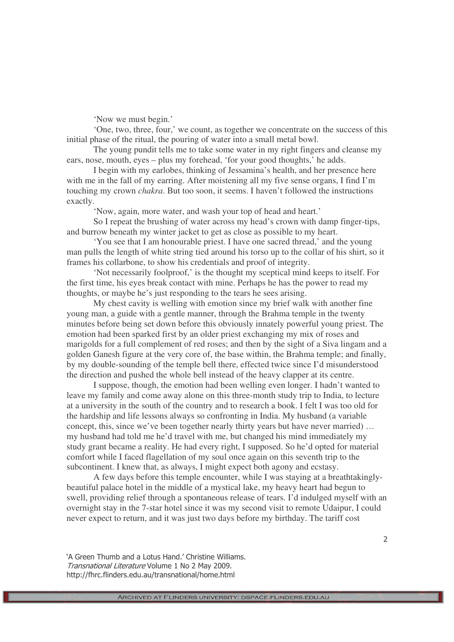'Now we must begin.'

'One, two, three, four,' we count, as together we concentrate on the success of this initial phase of the ritual, the pouring of water into a small metal bowl.

The young pundit tells me to take some water in my right fingers and cleanse my ears, nose, mouth, eyes – plus my forehead, 'for your good thoughts,' he adds.

I begin with my earlobes, thinking of Jessamina's health, and her presence here with me in the fall of my earring. After moistening all my five sense organs, I find I'm touching my crown *chakra*. But too soon, it seems. I haven't followed the instructions exactly.

'Now, again, more water, and wash your top of head and heart.'

So I repeat the brushing of water across my head's crown with damp finger-tips, and burrow beneath my winter jacket to get as close as possible to my heart.

'You see that I am honourable priest. I have one sacred thread,' and the young man pulls the length of white string tied around his torso up to the collar of his shirt, so it frames his collarbone, to show his credentials and proof of integrity.

'Not necessarily foolproof,' is the thought my sceptical mind keeps to itself. For the first time, his eyes break contact with mine. Perhaps he has the power to read my thoughts, or maybe he's just responding to the tears he sees arising.

My chest cavity is welling with emotion since my brief walk with another fine young man, a guide with a gentle manner, through the Brahma temple in the twenty minutes before being set down before this obviously innately powerful young priest. The emotion had been sparked first by an older priest exchanging my mix of roses and marigolds for a full complement of red roses; and then by the sight of a Siva lingam and a golden Ganesh figure at the very core of, the base within, the Brahma temple; and finally, by my double-sounding of the temple bell there, effected twice since I'd misunderstood the direction and pushed the whole bell instead of the heavy clapper at its centre.

I suppose, though, the emotion had been welling even longer. I hadn't wanted to leave my family and come away alone on this three-month study trip to India, to lecture at a university in the south of the country and to research a book. I felt I was too old for the hardship and life lessons always so confronting in India. My husband (a variable concept, this, since we've been together nearly thirty years but have never married) … my husband had told me he'd travel with me, but changed his mind immediately my study grant became a reality. He had every right, I supposed. So he'd opted for material comfort while I faced flagellation of my soul once again on this seventh trip to the subcontinent. I knew that, as always, I might expect both agony and ecstasy.

A few days before this temple encounter, while I was staying at a breathtakinglybeautiful palace hotel in the middle of a mystical lake, my heavy heart had begun to swell, providing relief through a spontaneous release of tears. I'd indulged myself with an overnight stay in the 7-star hotel since it was my second visit to remote Udaipur, I could never expect to return, and it was just two days before my birthday. The tariff cost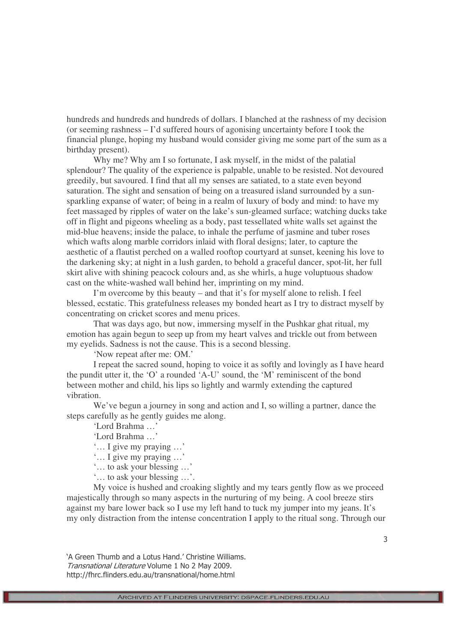hundreds and hundreds and hundreds of dollars. I blanched at the rashness of my decision (or seeming rashness – I'd suffered hours of agonising uncertainty before I took the financial plunge, hoping my husband would consider giving me some part of the sum as a birthday present).

Why me? Why am I so fortunate, I ask myself, in the midst of the palatial splendour? The quality of the experience is palpable, unable to be resisted. Not devoured greedily, but savoured. I find that all my senses are satiated, to a state even beyond saturation. The sight and sensation of being on a treasured island surrounded by a sunsparkling expanse of water; of being in a realm of luxury of body and mind: to have my feet massaged by ripples of water on the lake's sun-gleamed surface; watching ducks take off in flight and pigeons wheeling as a body, past tessellated white walls set against the mid-blue heavens; inside the palace, to inhale the perfume of jasmine and tuber roses which wafts along marble corridors inlaid with floral designs; later, to capture the aesthetic of a flautist perched on a walled rooftop courtyard at sunset, keening his love to the darkening sky; at night in a lush garden, to behold a graceful dancer, spot-lit, her full skirt alive with shining peacock colours and, as she whirls, a huge voluptuous shadow cast on the white-washed wall behind her, imprinting on my mind.

I'm overcome by this beauty – and that it's for myself alone to relish. I feel blessed, ecstatic. This gratefulness releases my bonded heart as I try to distract myself by concentrating on cricket scores and menu prices.

That was days ago, but now, immersing myself in the Pushkar ghat ritual, my emotion has again begun to seep up from my heart valves and trickle out from between my eyelids. Sadness is not the cause. This is a second blessing.

'Now repeat after me: OM.'

I repeat the sacred sound, hoping to voice it as softly and lovingly as I have heard the pundit utter it, the 'O' a rounded 'A-U' sound, the 'M' reminiscent of the bond between mother and child, his lips so lightly and warmly extending the captured vibration.

We've begun a journey in song and action and I, so willing a partner, dance the steps carefully as he gently guides me along.

'Lord Brahma …'

'Lord Brahma …'

'… I give my praying …'

'… I give my praying …'

'… to ask your blessing …'

'… to ask your blessing …'.

My voice is hushed and croaking slightly and my tears gently flow as we proceed majestically through so many aspects in the nurturing of my being. A cool breeze stirs against my bare lower back so I use my left hand to tuck my jumper into my jeans. It's my only distraction from the intense concentration I apply to the ritual song. Through our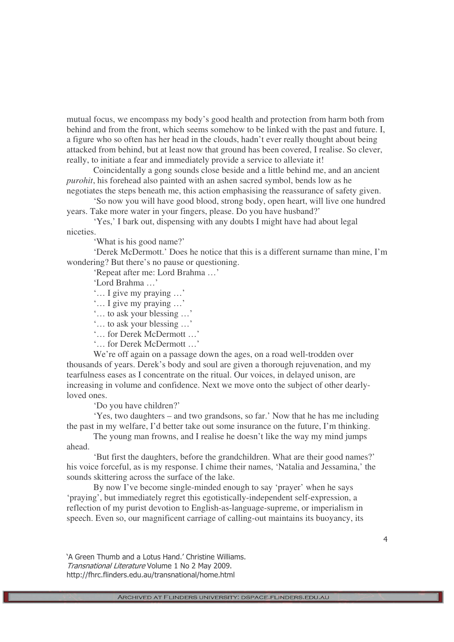mutual focus, we encompass my body's good health and protection from harm both from behind and from the front, which seems somehow to be linked with the past and future. I, a figure who so often has her head in the clouds, hadn't ever really thought about being attacked from behind, but at least now that ground has been covered, I realise. So clever, really, to initiate a fear and immediately provide a service to alleviate it!

Coincidentally a gong sounds close beside and a little behind me, and an ancient *purohit*, his forehead also painted with an ashen sacred symbol, bends low as he negotiates the steps beneath me, this action emphasising the reassurance of safety given.

'So now you will have good blood, strong body, open heart, will live one hundred years. Take more water in your fingers, please. Do you have husband?'

'Yes,' I bark out, dispensing with any doubts I might have had about legal niceties.

'What is his good name?'

'Derek McDermott.' Does he notice that this is a different surname than mine, I'm wondering? But there's no pause or questioning.

'Repeat after me: Lord Brahma …'

'Lord Brahma …'

- '… I give my praying …'
- '… I give my praying …'
- '… to ask your blessing …'
- '… to ask your blessing …'
- '… for Derek McDermott …'
- '… for Derek McDermott …'

We're off again on a passage down the ages, on a road well-trodden over thousands of years. Derek's body and soul are given a thorough rejuvenation, and my tearfulness eases as I concentrate on the ritual. Our voices, in delayed unison, are increasing in volume and confidence. Next we move onto the subject of other dearlyloved ones.

'Do you have children?'

'Yes, two daughters – and two grandsons, so far.' Now that he has me including the past in my welfare, I'd better take out some insurance on the future, I'm thinking.

The young man frowns, and I realise he doesn't like the way my mind jumps ahead.

'But first the daughters, before the grandchildren. What are their good names?' his voice forceful, as is my response. I chime their names, 'Natalia and Jessamina,' the sounds skittering across the surface of the lake.

By now I've become single-minded enough to say 'prayer' when he says 'praying', but immediately regret this egotistically-independent self-expression, a reflection of my purist devotion to English-as-language-supreme, or imperialism in speech. Even so, our magnificent carriage of calling-out maintains its buoyancy, its

`A Green Thumb and a Lotus Hand.' Christine Williams. Transnational Literature Volume 1 No 2 May 2009. http://fhrc.flinders.edu.au/transnational/home.html

 $\overline{4}$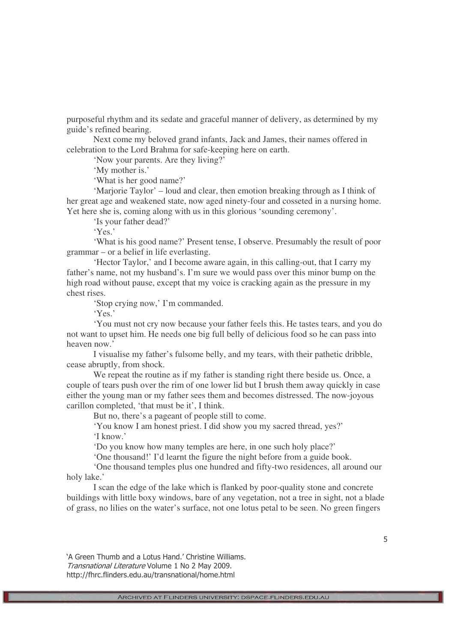purposeful rhythm and its sedate and graceful manner of delivery, as determined by my guide's refined bearing.

Next come my beloved grand infants, Jack and James, their names offered in celebration to the Lord Brahma for safe-keeping here on earth.

'Now your parents. Are they living?'

'My mother is.'

'What is her good name?'

'Marjorie Taylor' – loud and clear, then emotion breaking through as I think of her great age and weakened state, now aged ninety-four and cosseted in a nursing home. Yet here she is, coming along with us in this glorious 'sounding ceremony'.

'Is your father dead?'

'Yes.'

'What is his good name?' Present tense, I observe. Presumably the result of poor grammar – or a belief in life everlasting.

'Hector Taylor,' and I become aware again, in this calling-out, that I carry my father's name, not my husband's. I'm sure we would pass over this minor bump on the high road without pause, except that my voice is cracking again as the pressure in my chest rises.

'Stop crying now,' I'm commanded.

'Yes.'

'You must not cry now because your father feels this. He tastes tears, and you do not want to upset him. He needs one big full belly of delicious food so he can pass into heaven now.'

I visualise my father's fulsome belly, and my tears, with their pathetic dribble, cease abruptly, from shock.

We repeat the routine as if my father is standing right there beside us. Once, a couple of tears push over the rim of one lower lid but I brush them away quickly in case either the young man or my father sees them and becomes distressed. The now-joyous carillon completed, 'that must be it', I think.

But no, there's a pageant of people still to come.

'You know I am honest priest. I did show you my sacred thread, yes?' 'I know.'

'Do you know how many temples are here, in one such holy place?'

'One thousand!' I'd learnt the figure the night before from a guide book.

'One thousand temples plus one hundred and fifty-two residences, all around our holy lake.'

I scan the edge of the lake which is flanked by poor-quality stone and concrete buildings with little boxy windows, bare of any vegetation, not a tree in sight, not a blade of grass, no lilies on the water's surface, not one lotus petal to be seen. No green fingers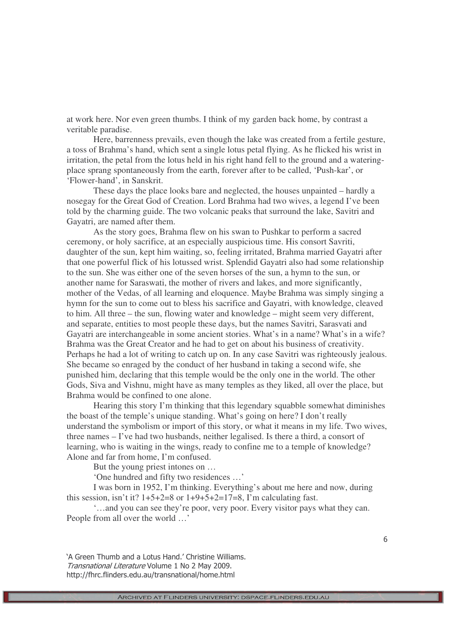at work here. Nor even green thumbs. I think of my garden back home, by contrast a veritable paradise.

Here, barrenness prevails, even though the lake was created from a fertile gesture, a toss of Brahma's hand, which sent a single lotus petal flying. As he flicked his wrist in irritation, the petal from the lotus held in his right hand fell to the ground and a wateringplace sprang spontaneously from the earth, forever after to be called, 'Push-kar', or 'Flower-hand', in Sanskrit.

These days the place looks bare and neglected, the houses unpainted – hardly a nosegay for the Great God of Creation. Lord Brahma had two wives, a legend I've been told by the charming guide. The two volcanic peaks that surround the lake, Savitri and Gayatri, are named after them.

As the story goes, Brahma flew on his swan to Pushkar to perform a sacred ceremony, or holy sacrifice, at an especially auspicious time. His consort Savriti, daughter of the sun, kept him waiting, so, feeling irritated, Brahma married Gayatri after that one powerful flick of his lotussed wrist. Splendid Gayatri also had some relationship to the sun. She was either one of the seven horses of the sun, a hymn to the sun, or another name for Saraswati, the mother of rivers and lakes, and more significantly, mother of the Vedas, of all learning and eloquence. Maybe Brahma was simply singing a hymn for the sun to come out to bless his sacrifice and Gayatri, with knowledge, cleaved to him. All three – the sun, flowing water and knowledge – might seem very different, and separate, entities to most people these days, but the names Savitri, Sarasvati and Gayatri are interchangeable in some ancient stories. What's in a name? What's in a wife? Brahma was the Great Creator and he had to get on about his business of creativity. Perhaps he had a lot of writing to catch up on. In any case Savitri was righteously jealous. She became so enraged by the conduct of her husband in taking a second wife, she punished him, declaring that this temple would be the only one in the world. The other Gods, Siva and Vishnu, might have as many temples as they liked, all over the place, but Brahma would be confined to one alone.

Hearing this story I'm thinking that this legendary squabble somewhat diminishes the boast of the temple's unique standing. What's going on here? I don't really understand the symbolism or import of this story, or what it means in my life. Two wives, three names – I've had two husbands, neither legalised. Is there a third, a consort of learning, who is waiting in the wings, ready to confine me to a temple of knowledge? Alone and far from home, I'm confused.

But the young priest intones on …

'One hundred and fifty two residences …'

I was born in 1952, I'm thinking. Everything's about me here and now, during this session, isn't it?  $1+5+2=8$  or  $1+9+5+2=17=8$ , I'm calculating fast.

'…and you can see they're poor, very poor. Every visitor pays what they can. People from all over the world …'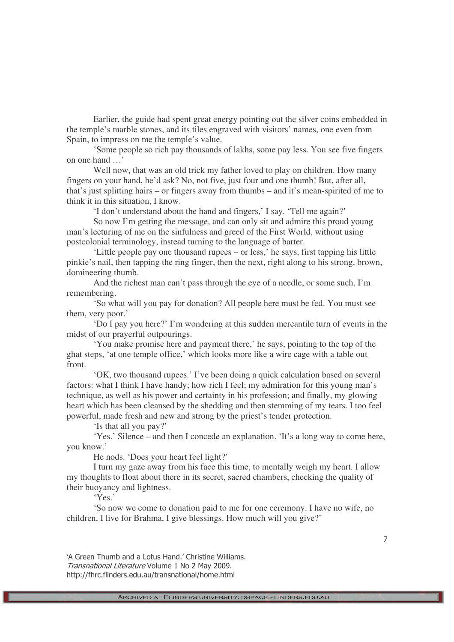Earlier, the guide had spent great energy pointing out the silver coins embedded in the temple's marble stones, and its tiles engraved with visitors' names, one even from Spain, to impress on me the temple's value.

'Some people so rich pay thousands of lakhs, some pay less. You see five fingers on one hand …'

Well now, that was an old trick my father loved to play on children. How many fingers on your hand, he'd ask? No, not five, just four and one thumb! But, after all, that's just splitting hairs – or fingers away from thumbs – and it's mean-spirited of me to think it in this situation, I know.

'I don't understand about the hand and fingers,' I say. 'Tell me again?'

So now I'm getting the message, and can only sit and admire this proud young man's lecturing of me on the sinfulness and greed of the First World, without using postcolonial terminology, instead turning to the language of barter.

'Little people pay one thousand rupees – or less,' he says, first tapping his little pinkie's nail, then tapping the ring finger, then the next, right along to his strong, brown, domineering thumb.

And the richest man can't pass through the eye of a needle, or some such, I'm remembering.

'So what will you pay for donation? All people here must be fed. You must see them, very poor.'

'Do I pay you here?' I'm wondering at this sudden mercantile turn of events in the midst of our prayerful outpourings.

'You make promise here and payment there,' he says, pointing to the top of the ghat steps, 'at one temple office,' which looks more like a wire cage with a table out front.

'OK, two thousand rupees.' I've been doing a quick calculation based on several factors: what I think I have handy; how rich I feel; my admiration for this young man's technique, as well as his power and certainty in his profession; and finally, my glowing heart which has been cleansed by the shedding and then stemming of my tears. I too feel powerful, made fresh and new and strong by the priest's tender protection.

'Is that all you pay?'

'Yes.' Silence – and then I concede an explanation. 'It's a long way to come here, you know.'

He nods. 'Does your heart feel light?'

I turn my gaze away from his face this time, to mentally weigh my heart. I allow my thoughts to float about there in its secret, sacred chambers, checking the quality of their buoyancy and lightness.

'Yes.'

'So now we come to donation paid to me for one ceremony. I have no wife, no children, I live for Brahma, I give blessings. How much will you give?'

`A Green Thumb and a Lotus Hand.' Christine Williams. Transnational Literature Volume 1 No 2 May 2009. http://fhrc.flinders.edu.au/transnational/home.html

+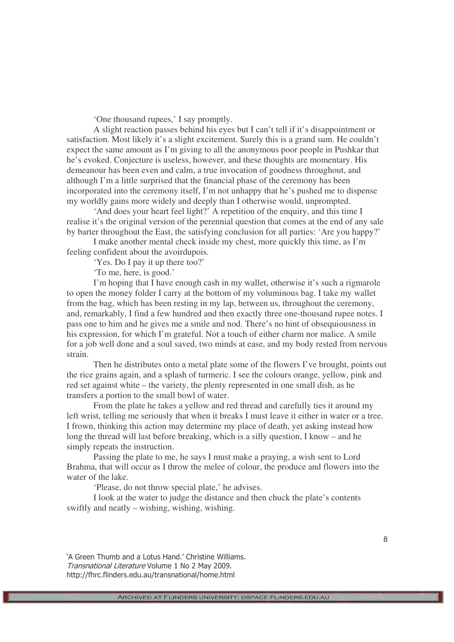'One thousand rupees,' I say promptly.

A slight reaction passes behind his eyes but I can't tell if it's disappointment or satisfaction. Most likely it's a slight excitement. Surely this is a grand sum. He couldn't expect the same amount as I'm giving to all the anonymous poor people in Pushkar that he's evoked. Conjecture is useless, however, and these thoughts are momentary. His demeanour has been even and calm, a true invocation of goodness throughout, and although I'm a little surprised that the financial phase of the ceremony has been incorporated into the ceremony itself, I'm not unhappy that he's pushed me to dispense my worldly gains more widely and deeply than I otherwise would, unprompted.

'And does your heart feel light?' A repetition of the enquiry, and this time I realise it's the original version of the perennial question that comes at the end of any sale by barter throughout the East, the satisfying conclusion for all parties: 'Are you happy?'

I make another mental check inside my chest, more quickly this time, as I'm feeling confident about the avoirdupois.

'Yes. Do I pay it up there too?'

'To me, here, is good.'

I'm hoping that I have enough cash in my wallet, otherwise it's such a rigmarole to open the money folder I carry at the bottom of my voluminous bag. I take my wallet from the bag, which has been resting in my lap, between us, throughout the ceremony, and, remarkably, I find a few hundred and then exactly three one-thousand rupee notes. I pass one to him and he gives me a smile and nod. There's no hint of obsequiousness in his expression, for which I'm grateful. Not a touch of either charm nor malice. A smile for a job well done and a soul saved, two minds at ease, and my body rested from nervous strain.

Then he distributes onto a metal plate some of the flowers I've brought, points out the rice grains again, and a splash of turmeric. I see the colours orange, yellow, pink and red set against white – the variety, the plenty represented in one small dish, as he transfers a portion to the small bowl of water.

From the plate he takes a yellow and red thread and carefully ties it around my left wrist, telling me seriously that when it breaks I must leave it either in water or a tree. I frown, thinking this action may determine my place of death, yet asking instead how long the thread will last before breaking, which is a silly question, I know – and he simply repeats the instruction.

Passing the plate to me, he says I must make a praying, a wish sent to Lord Brahma, that will occur as I throw the melee of colour, the produce and flowers into the water of the lake.

'Please, do not throw special plate,' he advises.

I look at the water to judge the distance and then chuck the plate's contents swiftly and neatly – wishing, wishing, wishing.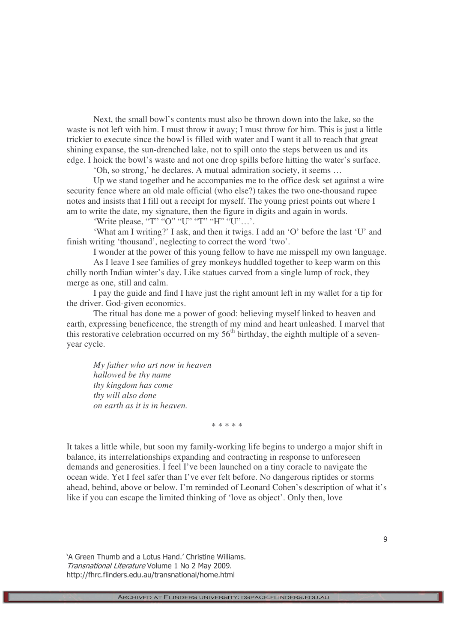Next, the small bowl's contents must also be thrown down into the lake, so the waste is not left with him. I must throw it away; I must throw for him. This is just a little trickier to execute since the bowl is filled with water and I want it all to reach that great shining expanse, the sun-drenched lake, not to spill onto the steps between us and its edge. I hoick the bowl's waste and not one drop spills before hitting the water's surface.

'Oh, so strong,' he declares. A mutual admiration society, it seems …

Up we stand together and he accompanies me to the office desk set against a wire security fence where an old male official (who else?) takes the two one-thousand rupee notes and insists that I fill out a receipt for myself. The young priest points out where I am to write the date, my signature, then the figure in digits and again in words.

'Write please, "T" "O" "U" "T" "H" "U"…'.

'What am I writing?' I ask, and then it twigs. I add an 'O' before the last 'U' and finish writing 'thousand', neglecting to correct the word 'two'.

I wonder at the power of this young fellow to have me misspell my own language.

As I leave I see families of grey monkeys huddled together to keep warm on this chilly north Indian winter's day. Like statues carved from a single lump of rock, they merge as one, still and calm.

I pay the guide and find I have just the right amount left in my wallet for a tip for the driver. God-given economics.

The ritual has done me a power of good: believing myself linked to heaven and earth, expressing beneficence, the strength of my mind and heart unleashed. I marvel that this restorative celebration occurred on my  $56<sup>th</sup>$  birthday, the eighth multiple of a sevenyear cycle.

*My father who art now in heaven hallowed be thy name thy kingdom has come thy will also done on earth as it is in heaven.*

\* \* \* \* \*

It takes a little while, but soon my family-working life begins to undergo a major shift in balance, its interrelationships expanding and contracting in response to unforeseen demands and generosities. I feel I've been launched on a tiny coracle to navigate the ocean wide. Yet I feel safer than I've ever felt before. No dangerous riptides or storms ahead, behind, above or below. I'm reminded of Leonard Cohen's description of what it's like if you can escape the limited thinking of 'love as object'. Only then, love